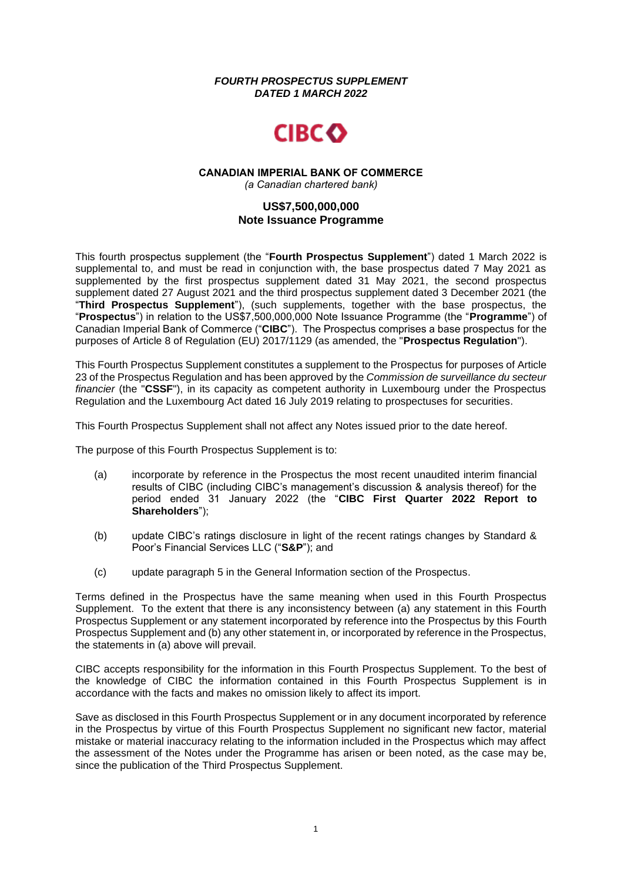*FOURTH PROSPECTUS SUPPLEMENT DATED 1 MARCH 2022*



#### **CANADIAN IMPERIAL BANK OF COMMERCE** *(a Canadian chartered bank)*

# **US\$7,500,000,000 Note Issuance Programme**

This fourth prospectus supplement (the "**Fourth Prospectus Supplement**") dated 1 March 2022 is supplemental to, and must be read in conjunction with, the base prospectus dated 7 May 2021 as supplemented by the first prospectus supplement dated 31 May 2021, the second prospectus supplement dated 27 August 2021 and the third prospectus supplement dated 3 December 2021 (the "**Third Prospectus Supplement**"), (such supplements, together with the base prospectus, the "**Prospectus**") in relation to the US\$7,500,000,000 Note Issuance Programme (the "**Programme**") of Canadian Imperial Bank of Commerce ("**CIBC**"). The Prospectus comprises a base prospectus for the purposes of Article 8 of Regulation (EU) 2017/1129 (as amended, the "**Prospectus Regulation**").

This Fourth Prospectus Supplement constitutes a supplement to the Prospectus for purposes of Article 23 of the Prospectus Regulation and has been approved by the *Commission de surveillance du secteur financier* (the "**CSSF**"), in its capacity as competent authority in Luxembourg under the Prospectus Regulation and the Luxembourg Act dated 16 July 2019 relating to prospectuses for securities.

This Fourth Prospectus Supplement shall not affect any Notes issued prior to the date hereof.

The purpose of this Fourth Prospectus Supplement is to:

- (a) incorporate by reference in the Prospectus the most recent unaudited interim financial results of CIBC (including CIBC's management's discussion & analysis thereof) for the period ended 31 January 2022 (the "**CIBC First Quarter 2022 Report to Shareholders**");
- (b) update CIBC's ratings disclosure in light of the recent ratings changes by Standard & Poor's Financial Services LLC ("**S&P**"); and
- (c) update paragraph 5 in the General Information section of the Prospectus.

Terms defined in the Prospectus have the same meaning when used in this Fourth Prospectus Supplement. To the extent that there is any inconsistency between (a) any statement in this Fourth Prospectus Supplement or any statement incorporated by reference into the Prospectus by this Fourth Prospectus Supplement and (b) any other statement in, or incorporated by reference in the Prospectus, the statements in (a) above will prevail.

CIBC accepts responsibility for the information in this Fourth Prospectus Supplement. To the best of the knowledge of CIBC the information contained in this Fourth Prospectus Supplement is in accordance with the facts and makes no omission likely to affect its import.

Save as disclosed in this Fourth Prospectus Supplement or in any document incorporated by reference in the Prospectus by virtue of this Fourth Prospectus Supplement no significant new factor, material mistake or material inaccuracy relating to the information included in the Prospectus which may affect the assessment of the Notes under the Programme has arisen or been noted, as the case may be, since the publication of the Third Prospectus Supplement.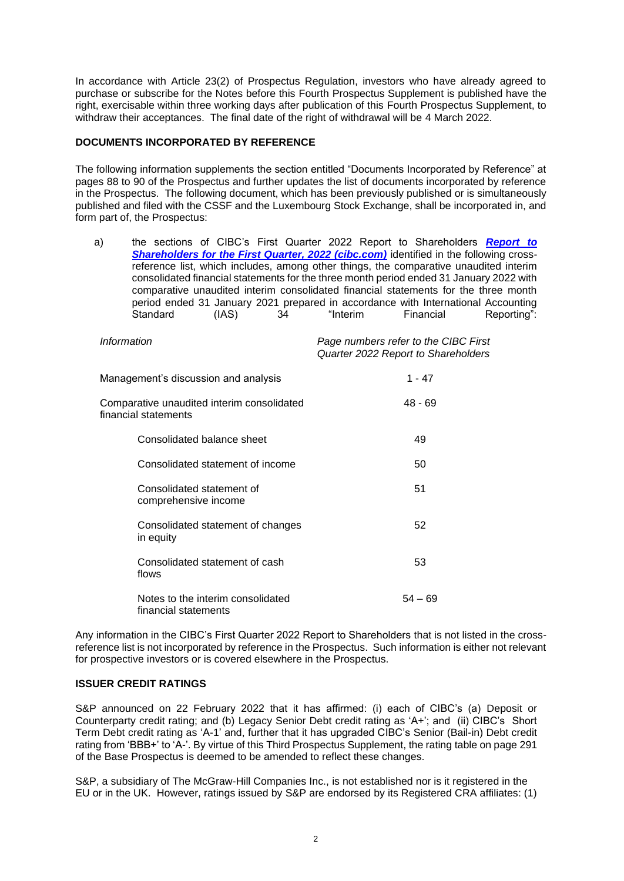In accordance with Article 23(2) of Prospectus Regulation, investors who have already agreed to purchase or subscribe for the Notes before this Fourth Prospectus Supplement is published have the right, exercisable within three working days after publication of this Fourth Prospectus Supplement, to withdraw their acceptances. The final date of the right of withdrawal will be 4 March 2022.

### **DOCUMENTS INCORPORATED BY REFERENCE**

The following information supplements the section entitled "Documents Incorporated by Reference" at pages 88 to 90 of the Prospectus and further updates the list of documents incorporated by reference in the Prospectus. The following document, which has been previously published or is simultaneously published and filed with the CSSF and the Luxembourg Stock Exchange, shall be incorporated in, and form part of, the Prospectus:

a) the sections of CIBC's First Quarter 2022 Report to Shareholders *[Report to](https://www.cibc.com/content/dam/cibc-public-assets/about-cibc/investor-relations/pdfs/quarterly-results/2022/q122report-en.pdf)*  **[Shareholders for the First Quarter, 2022 \(cibc.com\)](https://www.cibc.com/content/dam/cibc-public-assets/about-cibc/investor-relations/pdfs/quarterly-results/2022/q122report-en.pdf)** identified in the following crossreference list, which includes, among other things, the comparative unaudited interim consolidated financial statements for the three month period ended 31 January 2022 with comparative unaudited interim consolidated financial statements for the three month period ended 31 January 2021 prepared in accordance with International Accounting Standard (IAS) 34 "Interim Financial Reporting":

| Information                                                        | Page numbers refer to the CIBC First<br>Quarter 2022 Report to Shareholders |
|--------------------------------------------------------------------|-----------------------------------------------------------------------------|
| Management's discussion and analysis                               | 1 - 47                                                                      |
| Comparative unaudited interim consolidated<br>financial statements | $48 - 69$                                                                   |
| Consolidated balance sheet                                         | 49                                                                          |
| Consolidated statement of income                                   | 50                                                                          |
| Consolidated statement of<br>comprehensive income                  | 51                                                                          |
| Consolidated statement of changes<br>in equity                     | 52                                                                          |
| Consolidated statement of cash<br>flows                            | 53                                                                          |
| Notes to the interim consolidated<br>financial statements          | $54 - 69$                                                                   |

Any information in the CIBC's First Quarter 2022 Report to Shareholders that is not listed in the crossreference list is not incorporated by reference in the Prospectus. Such information is either not relevant for prospective investors or is covered elsewhere in the Prospectus.

### **ISSUER CREDIT RATINGS**

S&P announced on 22 February 2022 that it has affirmed: (i) each of CIBC's (a) Deposit or Counterparty credit rating; and (b) Legacy Senior Debt credit rating as 'A+'; and (ii) CIBC's Short Term Debt credit rating as 'A-1' and, further that it has upgraded CIBC's Senior (Bail-in) Debt credit rating from 'BBB+' to 'A-'. By virtue of this Third Prospectus Supplement, the rating table on page 291 of the Base Prospectus is deemed to be amended to reflect these changes.

S&P, a subsidiary of The McGraw-Hill Companies Inc., is not established nor is it registered in the EU or in the UK. However, ratings issued by S&P are endorsed by its Registered CRA affiliates: (1)